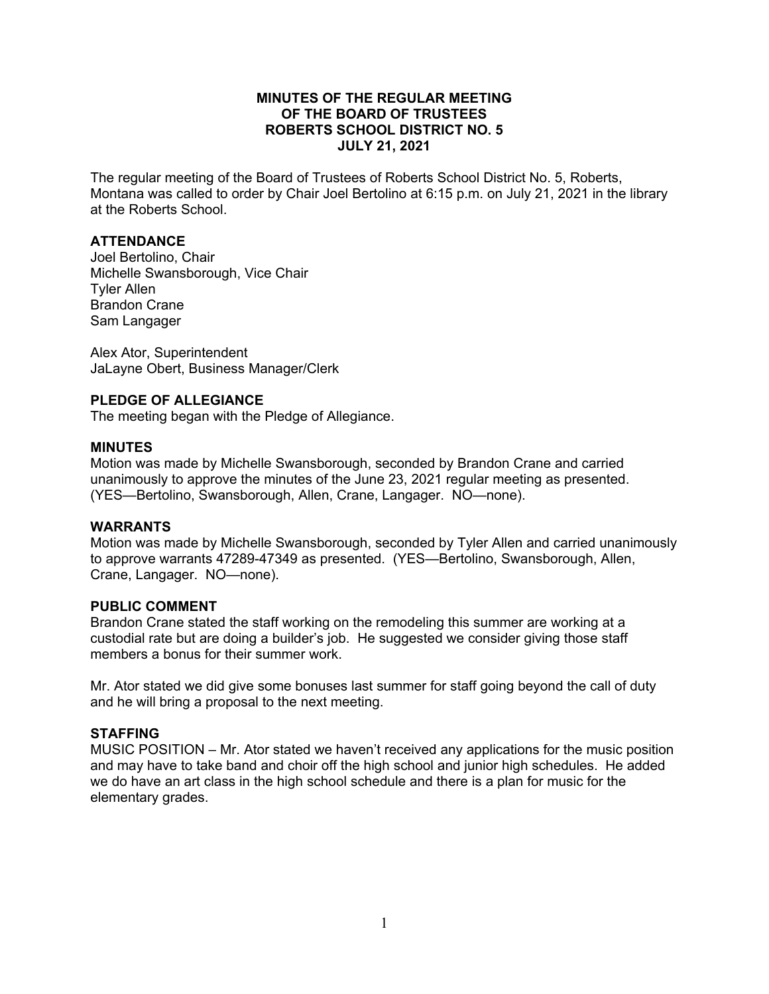# **MINUTES OF THE REGULAR MEETING OF THE BOARD OF TRUSTEES ROBERTS SCHOOL DISTRICT NO. 5 JULY 21, 2021**

The regular meeting of the Board of Trustees of Roberts School District No. 5, Roberts, Montana was called to order by Chair Joel Bertolino at 6:15 p.m. on July 21, 2021 in the library at the Roberts School.

# **ATTENDANCE**

Joel Bertolino, Chair Michelle Swansborough, Vice Chair Tyler Allen Brandon Crane Sam Langager

Alex Ator, Superintendent JaLayne Obert, Business Manager/Clerk

# **PLEDGE OF ALLEGIANCE**

The meeting began with the Pledge of Allegiance.

# **MINUTES**

Motion was made by Michelle Swansborough, seconded by Brandon Crane and carried unanimously to approve the minutes of the June 23, 2021 regular meeting as presented. (YES—Bertolino, Swansborough, Allen, Crane, Langager. NO—none).

#### **WARRANTS**

Motion was made by Michelle Swansborough, seconded by Tyler Allen and carried unanimously to approve warrants 47289-47349 as presented. (YES—Bertolino, Swansborough, Allen, Crane, Langager. NO—none).

### **PUBLIC COMMENT**

Brandon Crane stated the staff working on the remodeling this summer are working at a custodial rate but are doing a builder's job. He suggested we consider giving those staff members a bonus for their summer work.

Mr. Ator stated we did give some bonuses last summer for staff going beyond the call of duty and he will bring a proposal to the next meeting.

# **STAFFING**

MUSIC POSITION – Mr. Ator stated we haven't received any applications for the music position and may have to take band and choir off the high school and junior high schedules. He added we do have an art class in the high school schedule and there is a plan for music for the elementary grades.